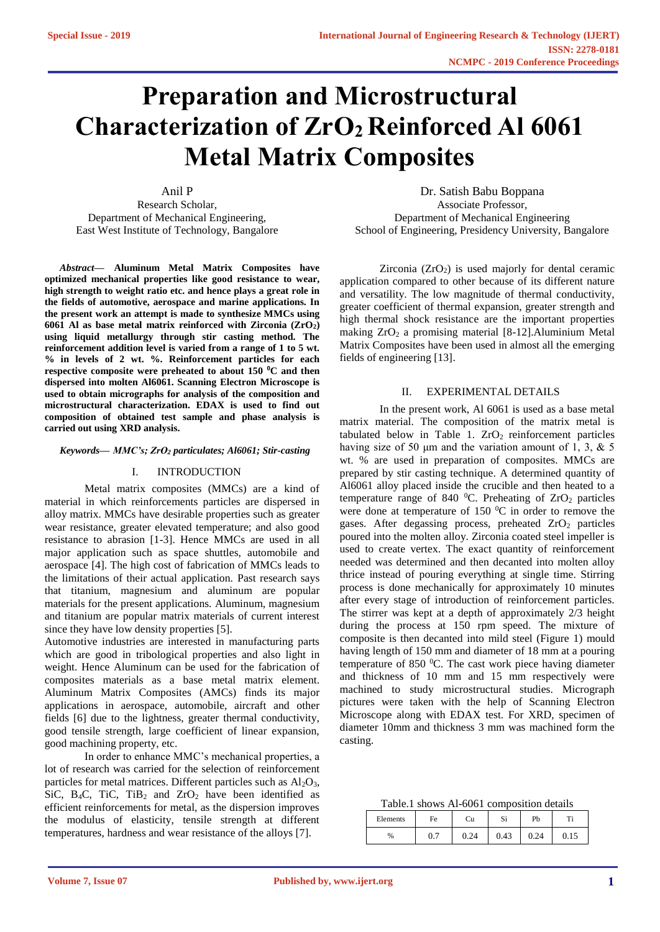# **Preparation and Microstructural Characterization of ZrO2 Reinforced Al 6061 Metal Matrix Composites**

Anil P Research Scholar, Department of Mechanical Engineering, East West Institute of Technology, Bangalore

*Abstract***— Aluminum Metal Matrix Composites have optimized mechanical properties like good resistance to wear, high strength to weight ratio etc. and hence plays a great role in the fields of automotive, aerospace and marine applications. In the present work an attempt is made to synthesize MMCs using 6061 Al as base metal matrix reinforced with Zirconia (ZrO2) using liquid metallurgy through stir casting method. The reinforcement addition level is varied from a range of 1 to 5 wt. % in levels of 2 wt. %. Reinforcement particles for each respective composite were preheated to about 150 <sup>0</sup>C and then dispersed into molten Al6061. Scanning Electron Microscope is used to obtain micrographs for analysis of the composition and microstructural characterization. EDAX is used to find out composition of obtained test sample and phase analysis is carried out using XRD analysis.**

### *Keywords— MMC's; ZrO<sup>2</sup> particulates; Al6061; Stir-casting*

# I. INTRODUCTION

Metal matrix composites (MMCs) are a kind of material in which reinforcements particles are dispersed in alloy matrix. MMCs have desirable properties such as greater wear resistance, greater elevated temperature; and also good resistance to abrasion [1-3]. Hence MMCs are used in all major application such as space shuttles, automobile and aerospace [4]. The high cost of fabrication of MMCs leads to the limitations of their actual application. Past research says that titanium, magnesium and aluminum are popular materials for the present applications. Aluminum, magnesium and titanium are popular matrix materials of current interest since they have low density properties [5].

Automotive industries are interested in manufacturing parts which are good in tribological properties and also light in weight. Hence Aluminum can be used for the fabrication of composites materials as a base metal matrix element. Aluminum Matrix Composites (AMCs) finds its major applications in aerospace, automobile, aircraft and other fields [6] due to the lightness, greater thermal conductivity, good tensile strength, large coefficient of linear expansion, good machining property, etc.

In order to enhance MMC's mechanical properties, a lot of research was carried for the selection of reinforcement particles for metal matrices. Different particles such as  $Al_2O_3$ , SiC, B<sub>4</sub>C, TiC, TiB<sub>2</sub> and  $ZrO<sub>2</sub>$  have been identified as efficient reinforcements for metal, as the dispersion improves the modulus of elasticity, tensile strength at different temperatures, hardness and wear resistance of the alloys [7].

Dr. Satish Babu Boppana Associate Professor, Department of Mechanical Engineering School of Engineering, Presidency University, Bangalore

Zirconia  $(ZrO<sub>2</sub>)$  is used majorly for dental ceramic application compared to other because of its different nature and versatility. The low magnitude of thermal conductivity, greater coefficient of thermal expansion, greater strength and high thermal shock resistance are the important properties making  $ZrO<sub>2</sub>$  a promising material [8-12]. Aluminium Metal Matrix Composites have been used in almost all the emerging fields of engineering [13].

# II. EXPERIMENTAL DETAILS

In the present work, Al 6061 is used as a base metal matrix material. The composition of the matrix metal is tabulated below in Table 1.  $ZrO<sub>2</sub>$  reinforcement particles having size of 50 μm and the variation amount of 1, 3, & 5 wt. % are used in preparation of composites. MMCs are prepared by stir casting technique. A determined quantity of Al6061 alloy placed inside the crucible and then heated to a temperature range of 840  $^0$ C. Preheating of ZrO<sub>2</sub> particles were done at temperature of  $150\text{ °C}$  in order to remove the gases. After degassing process, preheated  $ZrO<sub>2</sub>$  particles poured into the molten alloy. Zirconia coated steel impeller is used to create vertex. The exact quantity of reinforcement needed was determined and then decanted into molten alloy thrice instead of pouring everything at single time. Stirring process is done mechanically for approximately 10 minutes after every stage of introduction of reinforcement particles. The stirrer was kept at a depth of approximately 2/3 height during the process at 150 rpm speed. The mixture of composite is then decanted into mild steel (Figure 1) mould having length of 150 mm and diameter of 18 mm at a pouring temperature of 850 <sup>0</sup>C. The cast work piece having diameter and thickness of 10 mm and 15 mm respectively were machined to study microstructural studies. Micrograph pictures were taken with the help of Scanning Electron Microscope along with EDAX test. For XRD, specimen of diameter 10mm and thickness 3 mm was machined form the casting.

Table.1 shows Al-6061 composition details

| Elements | Fe   | Сu | Si   | Pb         | m.   |
|----------|------|----|------|------------|------|
| %        | ∪. ≀ |    | 0.43 | 24<br>∪.∠⊣ | U.IJ |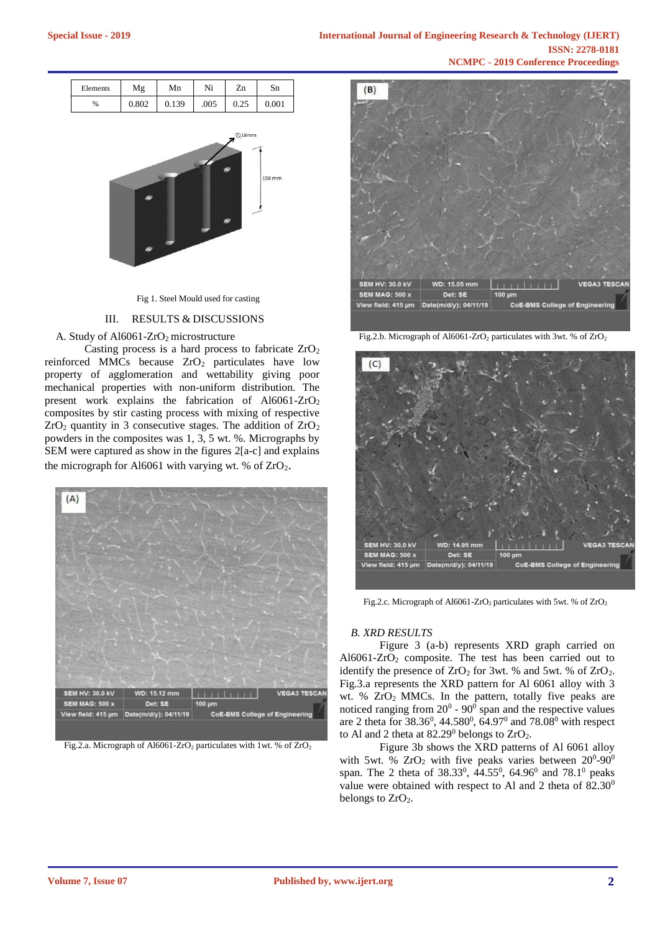| Elements | Mg    | Mn    | Ni   | Zn   | Sn    |
|----------|-------|-------|------|------|-------|
| %        | 0.802 | 0.139 | .005 | 0.25 | 0.001 |



Fig 1. Steel Mould used for casting

## III. RESULTS & DISCUSSIONS

# A. Study of  $Al6061-ZrO<sub>2</sub>$  microstructure

Casting process is a hard process to fabricate ZrO<sup>2</sup> reinforced MMCs because  $ZrO<sub>2</sub>$  particulates have low property of agglomeration and wettability giving poor mechanical properties with non-uniform distribution. The present work explains the fabrication of Al6061-ZrO<sub>2</sub> composites by stir casting process with mixing of respective  $ZrO<sub>2</sub>$  quantity in 3 consecutive stages. The addition of  $ZrO<sub>2</sub>$ powders in the composites was 1, 3, 5 wt. %. Micrographs by SEM were captured as show in the figures 2[a-c] and explains the micrograph for Al6061 with varying wt. % of  $ZrO<sub>2</sub>$ .



Fig.2.a. Micrograph of Al6061-ZrO<sub>2</sub> particulates with 1wt. % of  $ZrO<sub>2</sub>$ 



Fig.2.b. Micrograph of Al6061-ZrO<sub>2</sub> particulates with 3wt. % of ZrO<sub>2</sub>



Fig.2.c. Micrograph of Al6061-ZrO<sub>2</sub> particulates with 5wt. % of  $ZrO<sub>2</sub>$ 

### *B. XRD RESULTS*

Figure 3 (a-b) represents XRD graph carried on Al6061-ZrO<sup>2</sup> composite. The test has been carried out to identify the presence of  $ZrO_2$  for 3wt. % and 5wt. % of  $ZrO_2$ . Fig.3.a represents the XRD pattern for Al 6061 alloy with 3 wt. %  $ZrO<sub>2</sub>$  MMCs. In the pattern, totally five peaks are noticed ranging from  $20^0$  -  $90^0$  span and the respective values are 2 theta for  $38.36^{\circ}$ ,  $44.580^{\circ}$ ,  $64.97^{\circ}$  and  $78.08^{\circ}$  with respect to Al and 2 theta at  $82.29^{\circ}$  belongs to  $ZrO_2$ .

Figure 3b shows the XRD patterns of Al 6061 alloy with 5wt. %  $ZrO<sub>2</sub>$  with five peaks varies between  $20^0$ -90<sup>0</sup> span. The 2 theta of  $38.33^0$ ,  $44.55^0$ ,  $64.96^0$  and  $78.1^0$  peaks value were obtained with respect to Al and 2 theta of  $82.30<sup>0</sup>$ belongs to  $ZrO<sub>2</sub>$ .